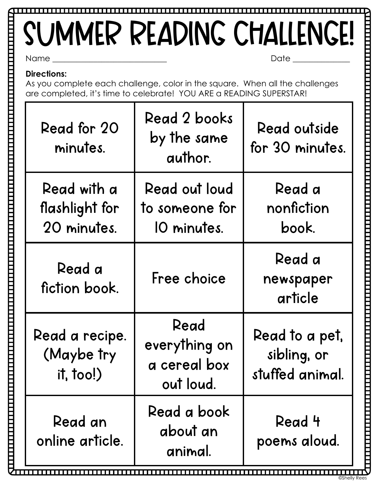## Name \_\_\_\_\_\_\_\_\_\_\_\_\_\_\_\_\_\_\_\_\_\_\_\_\_\_\_\_ Date \_\_\_\_\_\_\_\_\_\_\_\_\_\_ SUMMER READING CHALLENGE!

**Directions:** 

As you complete each challenge, color in the square. When all the challenges are completed, it's time to celebrate! YOU ARE a READING SUPERSTAR!

| Read for 20<br>minutes.                      | Read 2 books<br>by the same<br>author.             | Read outside<br>for 30 minutes.                  |
|----------------------------------------------|----------------------------------------------------|--------------------------------------------------|
| Read with a<br>flashlight for<br>20 minutes. | Read out loud<br>to someone for<br>10 minutes.     | Read a<br>nonfiction<br>book.                    |
| Read a<br>fiction book.                      | Free choice                                        | Read a<br>newspaper<br>article                   |
| Read a recipe.<br>(Maybe try<br>it, too!)    | Read<br>everything on<br>a cereal box<br>out loud. | Read to a pet,<br>sibling, or<br>stuffed animal. |
| Read an<br>online article.                   | Read a book<br>about an<br>animal.                 | Read 4<br>poems aloud.                           |